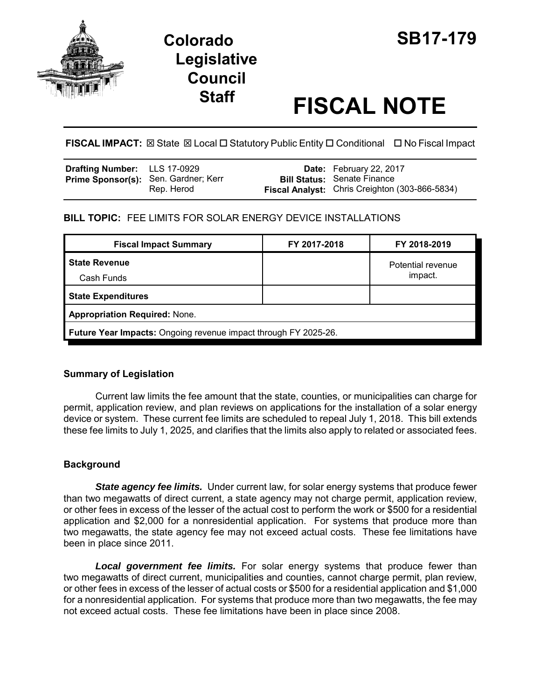



# **Staff FISCAL NOTE**

**FISCAL IMPACT:** ⊠ State ⊠ Local □ Statutory Public Entity □ Conditional □ No Fiscal Impact

| <b>Drafting Number:</b> LLS 17-0929         |            | Date: February 22, 2017                                                              |
|---------------------------------------------|------------|--------------------------------------------------------------------------------------|
| <b>Prime Sponsor(s):</b> Sen. Gardner; Kerr | Rep. Herod | <b>Bill Status: Senate Finance</b><br>Fiscal Analyst: Chris Creighton (303-866-5834) |

## **BILL TOPIC:** FEE LIMITS FOR SOLAR ENERGY DEVICE INSTALLATIONS

| <b>Fiscal Impact Summary</b>                                    | FY 2017-2018 | FY 2018-2019      |  |  |  |
|-----------------------------------------------------------------|--------------|-------------------|--|--|--|
| <b>State Revenue</b>                                            |              | Potential revenue |  |  |  |
| Cash Funds                                                      |              | impact.           |  |  |  |
| <b>State Expenditures</b>                                       |              |                   |  |  |  |
| <b>Appropriation Required: None.</b>                            |              |                   |  |  |  |
| Future Year Impacts: Ongoing revenue impact through FY 2025-26. |              |                   |  |  |  |

## **Summary of Legislation**

Current law limits the fee amount that the state, counties, or municipalities can charge for permit, application review, and plan reviews on applications for the installation of a solar energy device or system. These current fee limits are scheduled to repeal July 1, 2018. This bill extends these fee limits to July 1, 2025, and clarifies that the limits also apply to related or associated fees.

## **Background**

*State agency fee limits.* Under current law, for solar energy systems that produce fewer than two megawatts of direct current, a state agency may not charge permit, application review, or other fees in excess of the lesser of the actual cost to perform the work or \$500 for a residential application and \$2,000 for a nonresidential application. For systems that produce more than two megawatts, the state agency fee may not exceed actual costs. These fee limitations have been in place since 2011.

*Local government fee limits.* For solar energy systems that produce fewer than two megawatts of direct current, municipalities and counties, cannot charge permit, plan review, or other fees in excess of the lesser of actual costs or \$500 for a residential application and \$1,000 for a nonresidential application. For systems that produce more than two megawatts, the fee may not exceed actual costs. These fee limitations have been in place since 2008.